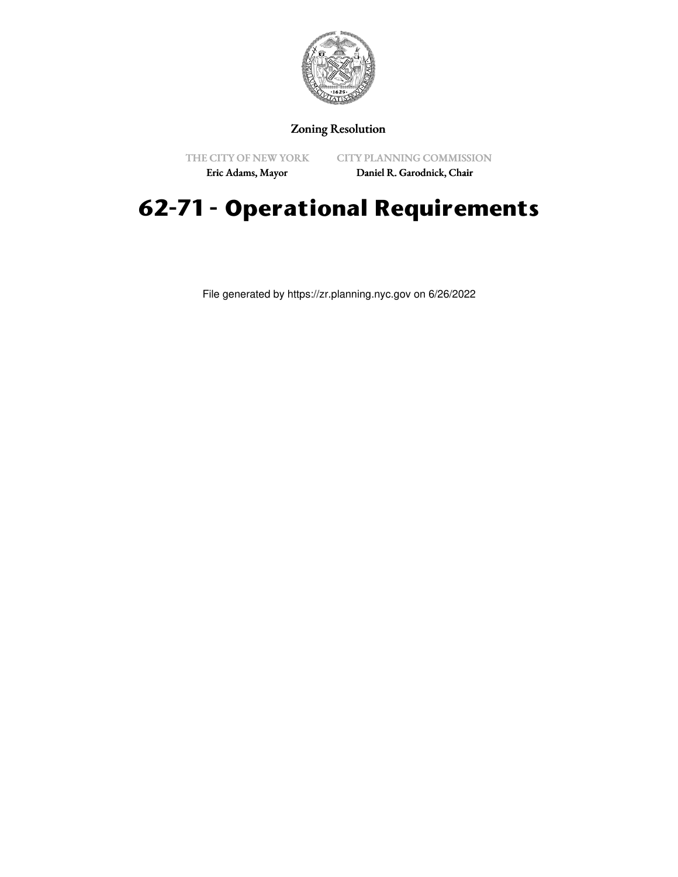

## Zoning Resolution

THE CITY OF NEW YORK Eric Adams, Mayor

CITY PLANNING COMMISSION Daniel R. Garodnick, Chair

# **62-71 - Operational Requirements**

File generated by https://zr.planning.nyc.gov on 6/26/2022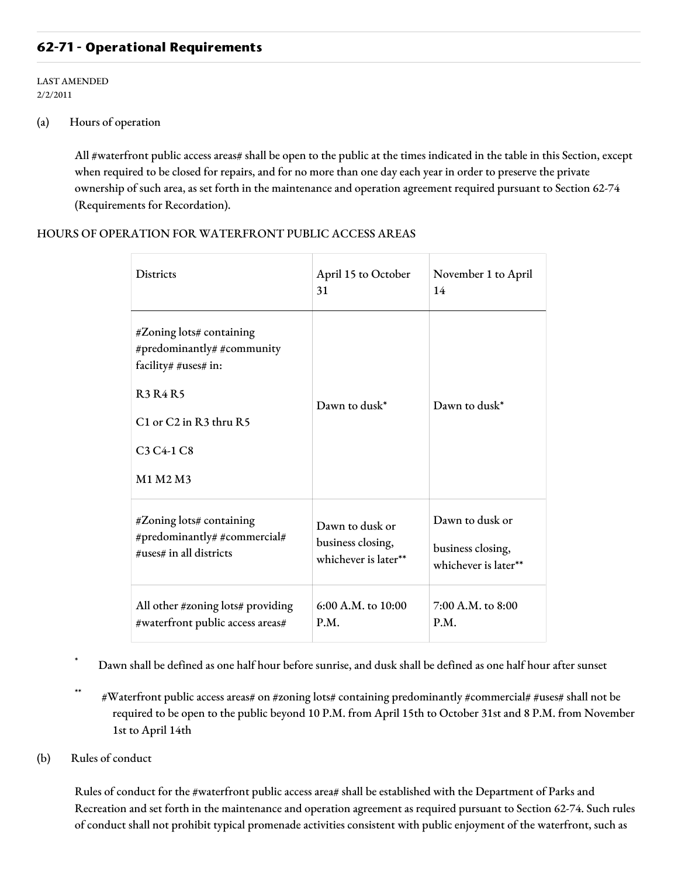## **62-71 - Operational Requirements**

LAST AMENDED 2/2/2011

#### (a) Hours of operation

All #waterfront public access areas# shall be open to the public at the times indicated in the table in this Section, except when required to be closed for repairs, and for no more than one day each year in order to preserve the private ownership of such area, as set forth in the maintenance and operation agreement required pursuant to Section 62-74 (Requirements for Recordation).

#### HOURS OF OPERATION FOR WATERFRONT PUBLIC ACCESS AREAS

| <b>Districts</b>                                                                                                                                                                           | April 15 to October<br>31 | November 1 to April<br>14 |
|--------------------------------------------------------------------------------------------------------------------------------------------------------------------------------------------|---------------------------|---------------------------|
| #Zoning lots# containing<br>#predominantly# #community<br>facility# #uses# in:<br><b>R3 R4 R5</b><br>C1 or C2 in R3 thru R5<br>C <sub>3</sub> C <sub>4</sub> -1 C <sub>8</sub><br>M1 M2 M3 | Dawn to dusk*             | Dawn to dusk*             |
| #Zoning lots# containing                                                                                                                                                                   | Dawn to dusk or           | Dawn to dusk or           |
| #predominantly# #commercial#                                                                                                                                                               | business closing,         | business closing,         |
| #uses# in all districts                                                                                                                                                                    | whichever is later**      | whichever is later**      |
| All other #zoning lots# providing                                                                                                                                                          | 6:00 A.M. to 10:00        | 7:00 A.M. to 8:00         |
| #waterfront public access areas#                                                                                                                                                           | P.M.                      | P.M.                      |

Dawn shall be defined as one half hour before sunrise, and dusk shall be defined as one half hour after sunset

- \*\* #Waterfront public access areas# on #zoning lots# containing predominantly #commercial# #uses# shall not be required to be open to the public beyond 10 P.M. from April 15th to October 31st and 8 P.M. from November 1st to April 14th
- (b) Rules of conduct

Rules of conduct for the #waterfront public access area# shall be established with the Department of Parks and Recreation and set forth in the maintenance and operation agreement as required pursuant to Section 62-74. Such rules of conduct shall not prohibit typical promenade activities consistent with public enjoyment of the waterfront, such as